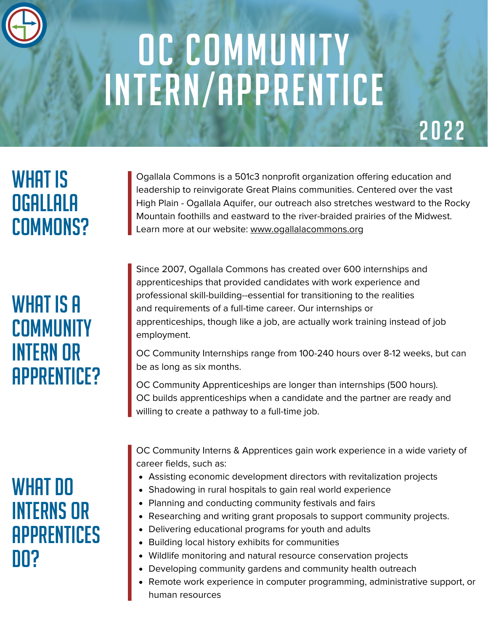# OC COMMUNITY Intern/Apprentice

# 2022

# WHAT IS Ogallala COMMONS?

# WHAT IS A **COMMUNITY** Intern Or Apprentice?

### WHAT DO interns Or **APPRENTICES** DO?

Ogallala Commons is a 501c3 nonprofit organization offering education and leadership to reinvigorate Great Plains communities. Centered over the vast [High Plain - Ogallala Aquifer, our outreach also stretches westward to the Rocky](http://www.ogallalacommons.org/) Mountain foothills and eastward to the river-braided prairies of the Midwest. Learn more at our website: www.ogallalacommons.org

Since 2007, Ogallala Commons has created over 600 internships and apprenticeships that provided candidates with work experience and professional skill-building--essential for transitioning to the realities and requirements of a full-time career. Our internships or [apprenticeships, though like a job, are actually work training instead of job](http://www.ogallalacommons.org/) employment.

[OC Community Internships range from 100-240 hours over 8-12 weeks, but can](http://www.ogallalacommons.org/) be as long as six months.

OC Community Apprenticeships are longer than internships (500 hours). [OC builds apprenticeships when a candidate and the partner are ready and](http://www.ogallalacommons.org/) willing to create a pathway to a full-time job.

[OC Community Interns & Apprentices gain work experience in a wide variety of](http://www.ogallalacommons.org/) career fields, such as:

- Assisting economic development directors with revitalization projects
- Shadowing in rural hospitals to gain real world experience
- Planning and conducting community festivals and fairs
- Researching and writing grant proposals to support community projects.
- Delivering educational programs for youth and adults
- Building local history exhibits for communities
- Wildlife monitoring and natural resource conservation projects
- Developing community gardens and community health outreach
- Remote work experience in computer programming, administrative support, or human resources